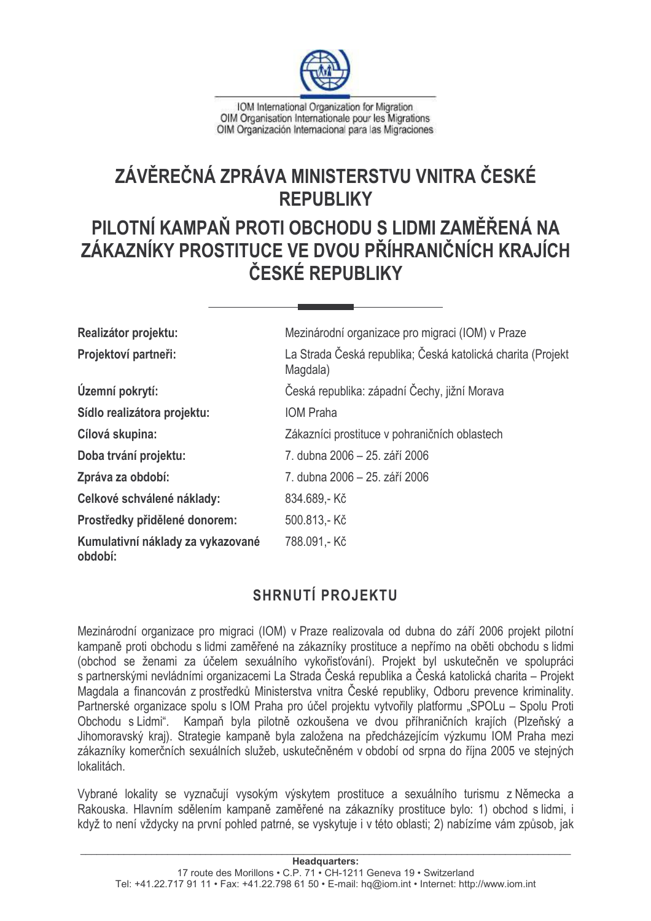

IOM International Organization for Migration OIM Organisation Internationale pour les Migrations OIM Organización Internacional para las Migraciones

# ZÁVĚREČNÁ ZPRÁVA MINISTERSTVU VNITRA ČESKÉ **REPUBLIKY**

# PILOTNÍ KAMPAŇ PROTI OBCHODU S LIDMI ZAMĚŘENÁ NA ZÁKAZNÍKY PROSTITUCE VE DVOU PŘÍHRANIČNÍCH KRAJÍCH ČESKÉ REPUBLIKY

| Realizátor projektu:                         | Mezinárodní organizace pro migraci (IOM) v Praze                        |  |
|----------------------------------------------|-------------------------------------------------------------------------|--|
| Projektoví partneři:                         | La Strada Česká republika; Česká katolická charita (Projekt<br>Magdala) |  |
| Územní pokrytí:                              | Česká republika: západní Čechy, jižní Morava                            |  |
| Sídlo realizátora projektu:                  | <b>IOM Praha</b>                                                        |  |
| Cílová skupina:                              | Zákazníci prostituce v pohraničních oblastech                           |  |
| Doba trvání projektu:                        | 7. dubna 2006 – 25. září 2006                                           |  |
| Zpráva za období:                            | 7. dubna 2006 – 25. září 2006                                           |  |
| Celkové schválené náklady:                   | 834.689,-Kč                                                             |  |
| Prostředky přidělené donorem:                | 500.813,-Kč                                                             |  |
| Kumulativní náklady za vykazované<br>období: | 788.091,-Kč                                                             |  |

## **SHRNUTÍ PROJEKTU**

Mezinárodní organizace pro migraci (IOM) v Praze realizovala od dubna do září 2006 projekt pilotní kampaně proti obchodu s lidmi zaměřené na zákazníky prostituce a nepřímo na oběti obchodu s lidmi (obchod se ženami za účelem sexuálního vykořisťování). Projekt byl uskutečněn ve spolupráci s partnerskými nevládními organizacemi La Strada Česká republika a Česká katolická charita – Projekt Magdala a financován z prostředků Ministerstva vnitra České republiky, Odboru prevence kriminality. Partnerské organizace spolu s IOM Praha pro účel projektu vytvořily platformu "SPOLu – Spolu Proti Obchodu s Lidmi". Kampaň byla pilotně ozkoušena ve dvou příhraničních krajích (Plzeňský a Jihomoravský kraj). Strategie kampaně byla založena na předcházejícím výzkumu IOM Praha mezi zákazníky komerčních sexuálních služeb, uskutečněném v období od srpna do října 2005 ve stejných lokalitách.

Vybrané lokality se vyznačují vysokým výskytem prostituce a sexuálního turismu z Německa a Rakouska. Hlavním sdělením kampaně zaměřené na zákazníky prostituce bylo: 1) obchod s lidmi, i když to není vždycky na první pohled patrné, se vyskytuje i v této oblasti: 2) nabízíme vám způsob, jak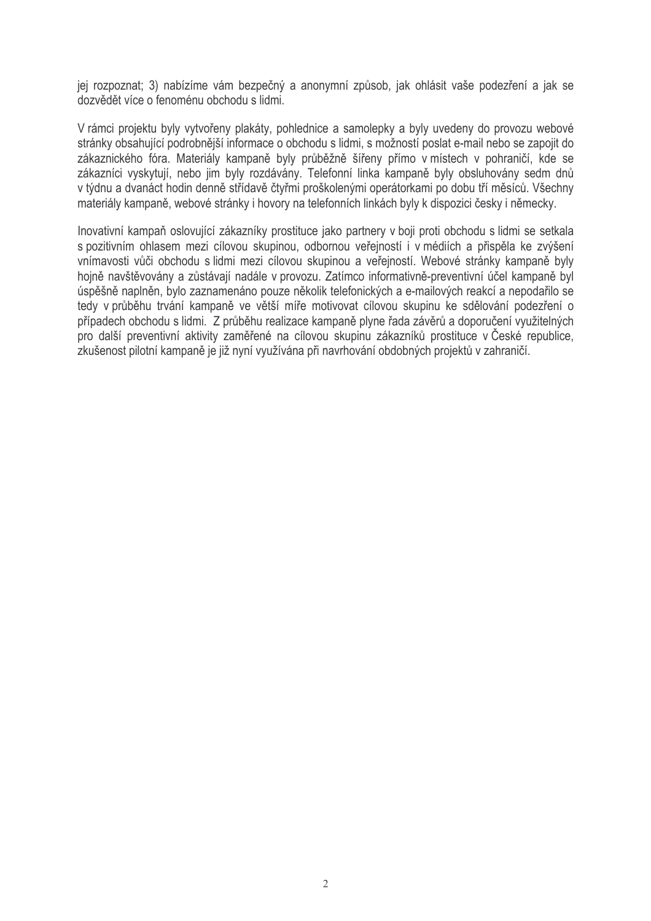jej rozpoznat; 3) nabízíme vám bezpečný a anonymní způsob, jak ohlásit vaše podezření a jak se dozvědět více o fenoménu obchodu s lidmi.

V rámci projektu byly vytvořeny plakáty, pohlednice a samolepky a byly uvedeny do provozu webové stránky obsahující podrobnější informace o obchodu s lidmi, s možností poslat e-mail nebo se zapojit do zákaznického fóra. Materiály kampaně byly průběžně šířeny přímo v místech v pohraničí, kde se zákazníci vyskytují, nebo jim byly rozdávány. Telefonní linka kampaně byly obsluhovány sedm dnů v týdnu a dvanáct hodin denně střídavě čtyřmi proškolenými operátorkami po dobu tří měsíců. Všechny materiály kampaně, webové stránky i hovory na telefonních linkách byly k dispozici česky i německy.

Inovativní kampaň oslovující zákazníky prostituce jako partnery v boji proti obchodu s lidmi se setkala s pozitivním ohlasem mezi cílovou skupinou, odbornou veřejností i v médiích a přispěla ke zvýšení vnímavosti vůči obchodu s lidmi mezi cílovou skupinou a veřejností. Webové stránky kampaně byly hojně navštěvovány a zůstávají nadále v provozu. Zatímco informativně-preventivní účel kampaně byl úspěšně naplněn, bylo zaznamenáno pouze několik telefonických a e-mailových reakcí a nepodařilo se tedy v průběhu trvání kampaně ve větší míře motivovat cílovou skupinu ke sdělování podezření o případech obchodu s lidmi. Z průběhu realizace kampaně plyne řada závěrů a doporučení využitelných pro další preventivní aktivity zaměřené na cílovou skupinu zákazníků prostituce v České republice, zkušenost pilotní kampaně je již nyní využívána při navrhování obdobných projektů v zahraničí.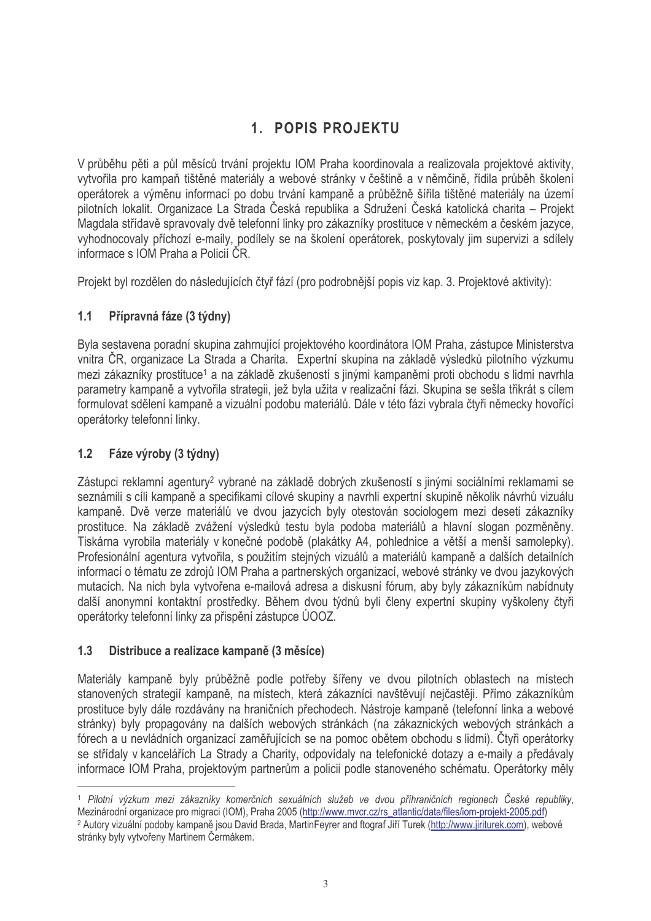## 1. POPIS PROJEKTU

V průběhu pěti a půl měsíců trvání projektu IOM Praha koordinovala a realizovala projektové aktivity. vytvořila pro kampaň tištěné materiály a webové stránky v češtině a v němčině, řídila průběh školení operátorek a výměnu informací po dobu trvání kampaně a průběžně šířila tištěné materiály na území pilotních lokalit. Organizace La Strada Česká republika a Sdružení Česká katolická charita - Proiekt Magdala střídavě spravovaly dvě telefonní linky pro zákazníky prostituce v německém a českém jazyce. vyhodnocovaly příchozí e-maily, podílely se na školení operátorek, poskytovaly jim supervizi a sdílely informace s IOM Praha a Policií ČR.

Projekt byl rozdělen do následujících čtyř fází (pro podrobnější popis viz kap. 3. Projektové aktivity):

#### $1.1$ Přípravná fáze (3 týdny)

Byla sestavena poradní skupina zahrnující projektového koordinátora IOM Praha, zástupce Ministerstva vnitra ČR, organizace La Strada a Charita. Expertní skupina na základě výsledků pilotního výzkumu mezi zákazníky prostituce<sup>1</sup> a na základě zkušeností s jinými kampaněmi proti obchodu s lidmi navrhla parametry kampaně a vytvořila strategii, jež byla užita v realizační fázi. Skupina se sešla třikrát s cílem formulovat sdělení kampaně a vizuální podobu materiálů. Dále v této fázi vybrala čtvři německy hovořící operátorky telefonní linky.

#### $1.2$ Fáze výroby (3 týdny)

Zástupci reklamní agentury<sup>2</sup> vybrané na základě dobrých zkušeností s jinými sociálními reklamami se seznámili s cíli kampaně a specifikami cílové skupiny a navrhli expertní skupině několik návrhů vizuálu kampaně. Dvě verze materiálů ve dvou jazycích byly otestován sociologem mezi deseti zákazníky prostituce. Na základě zvážení výsledků testu byla podoba materiálů a hlavní slogan pozměněny. Tiskárna vyrobila materiály v konečné podobě (plakátky A4, pohlednice a větší a menší samolepky). Profesionální agentura vytvořila, s použitím stejných vizuálů a materiálů kampaně a dalších detailních informací o tématu ze zdrojů IOM Praha a partnerských organizací, webové stránky ve dvou jazykových mutacích. Na nich byla vytvořena e-mailová adresa a diskusní fórum, aby byly zákazníkům nabídnuty další anonymní kontaktní prostředky. Během dvou týdnů byli členy expertní skupiny vyškoleny čtyři operátorky telefonní linky za přispění zástupce ÚOOZ.

#### $1.3$ Distribuce a realizace kampaně (3 měsíce)

Materiály kampaně byly průběžně podle potřeby šířeny ve dvou pilotních oblastech na místech stanovených strategií kampaně, na místech, která zákazníci navštěvují nejčastěji. Přímo zákazníkům prostituce byly dále rozdávány na hraničních přechodech. Nástroje kampaně (telefonní linka a webové stránky) byly propagovány na dalších webových stránkách (na zákaznických webových stránkách a fórech a u nevládních organizací zaměřujících se na pomoc obětem obchodu s lidmi). Čtvři operátorky se střídaly v kancelářích La Strady a Charity, odpovídaly na telefonické dotazy a e-maily a předávaly informace IOM Praha, projektovým partnerům a policii podle stanoveného schématu. Operátorky měly

<sup>&</sup>lt;sup>1</sup> Pilotní výzkum mezi zákazníky komerčních sexuálních služeb ve dvou příhraničních regionech České republiky, Mezinárodní organizace pro migraci (IOM), Praha 2005 (http://www.mvcr.cz/rs\_atlantic/data/files/iom-projekt-2005.pdf) <sup>2</sup> Autory vizuální podoby kampaně jsou David Brada, MartinFeyrer and ftograf Jiří Turek (http://www.jiriturek.com), webové

stránky byly vytvořeny Martinem Čermákem.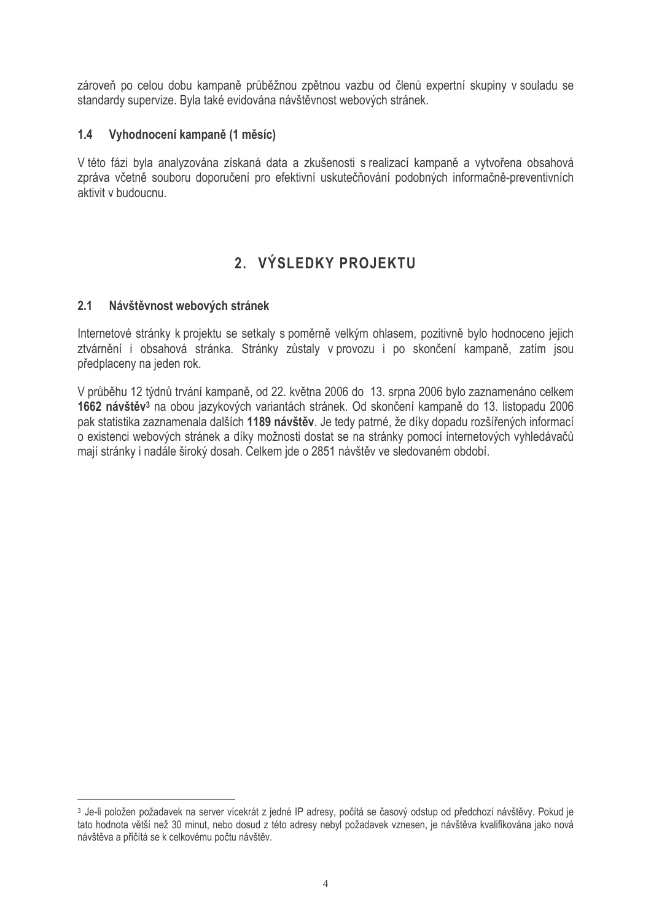zároveň po celou dobu kampaně průběžnou zpětnou vazbu od členů expertní skupiny v souladu se standardy supervize. Byla také evidována návštěvnost webových stránek.

#### $1.4$ Vyhodnocení kampaně (1 měsíc)

V této fázi byla analyzována získaná data a zkušenosti s realizací kampaně a vytvořena obsahová zpráva včetně souboru doporučení pro efektivní uskutečňování podobných informačně-preventivních aktivit v budoucnu.

### 2. VÝSLEDKY PROJEKTU

#### $2.1$ Návštěvnost webových stránek

Internetové stránky k projektu se setkaly s poměrně velkým ohlasem, pozitivně bylo hodnoceno jejich ztvárnění i obsahová stránka. Stránky zůstaly v provozu i po skončení kampaně, zatím jsou předplaceny na jeden rok.

V průběhu 12 týdnů trvání kampaně, od 22. května 2006 do 13. srpna 2006 bylo zaznamenáno celkem 1662 návštěv<sup>3</sup> na obou jazykových variantách stránek. Od skončení kampaně do 13. listopadu 2006 pak statistika zaznamenala dalších 1189 návštěv. Je tedy patrné, že díky dopadu rozšířených informací o existenci webových stránek a díky možnosti dostat se na stránky pomocí internetových vyhledávačů mají stránky i nadále široký dosah. Celkem jde o 2851 návštěv ve sledovaném období.

<sup>3</sup> Je-li položen požadavek na server vícekrát z jedné IP adresy, počítá se časový odstup od předchozí návštěvy. Pokud je tato hodnota větší než 30 minut, nebo dosud z této adresy nebyl požadavek vznesen, je návštěva kvalifikována jako nová návštěva a přičítá se k celkovému počtu návštěv.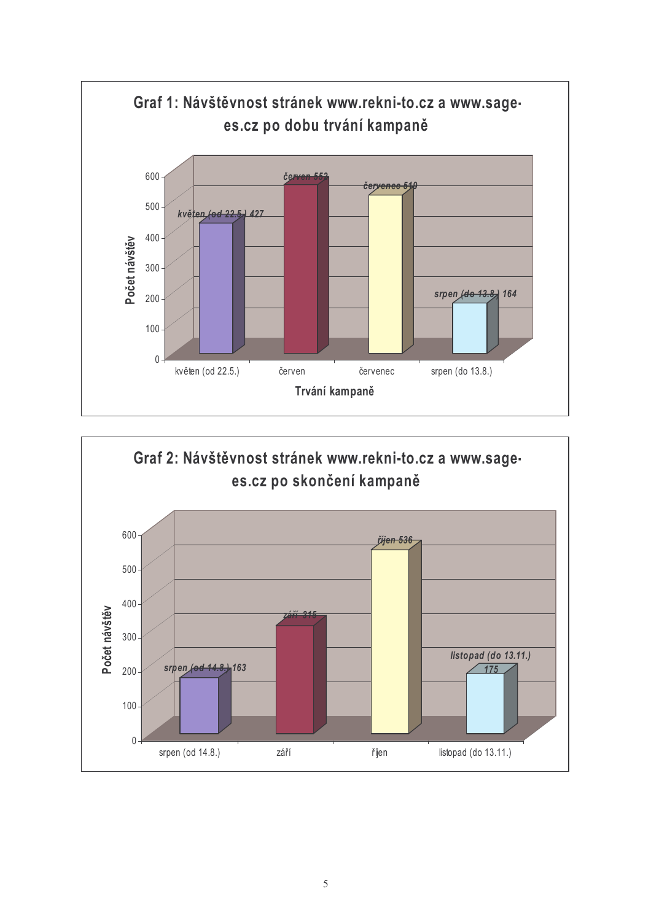

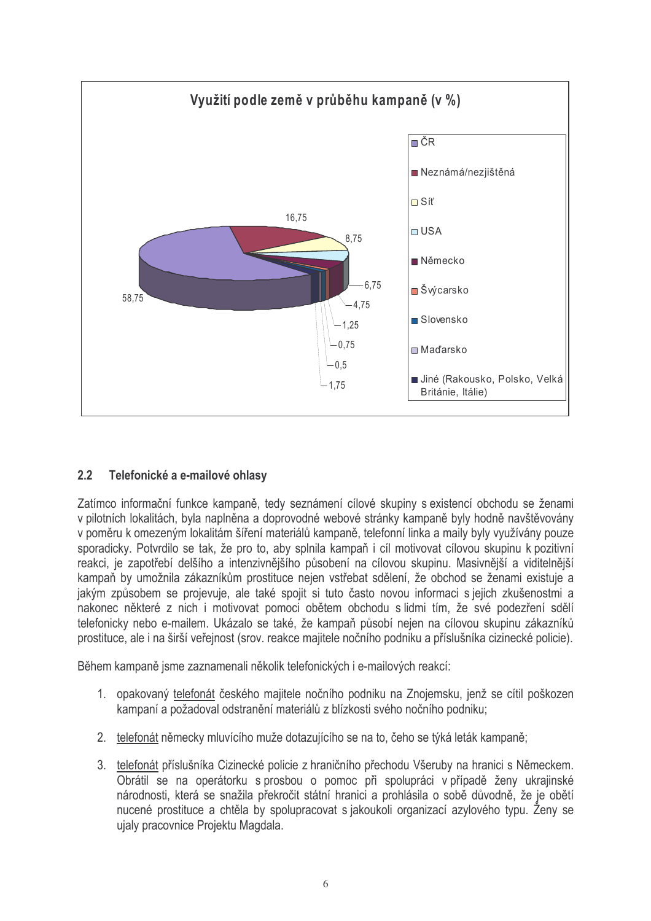

#### $2.2$ Telefonické a e-mailové ohlasy

Zatímco informační funkce kampaně, tedy seznámení cílové skupiny s existencí obchodu se ženami v pilotních lokalitách, byla naplněna a doprovodné webové stránky kampaně byly hodně navštěvovány v poměru k omezeným lokalitám šíření materiálů kampaně, telefonní linka a majly byly využívány pouze sporadicky. Potvrdilo se tak, že pro to, aby splnila kampaň i cíl motivovat cílovou skupinu k pozitivní reakci, je zapotřebí delšího a intenzivnějšího působení na cílovou skupinu. Masivnější a viditelnější kampaň by umožnila zákazníkům prostituce nejen vstřebat sdělení, že obchod se ženami existuje a jakým způsobem se projevuje, ale také spojit si tuto často novou informaci s jejich zkušenostmi a nakonec některé z nich i motivovat pomoci obětem obchodu s lidmi tím, že své podezření sdělí telefonicky nebo e-mailem. Ukázalo se také, že kampaň působí nejen na cílovou skupinu zákazníků prostituce, ale i na širší veřejnost (srov. reakce majitele nočního podniku a příslušníka cizinecké policie).

Během kampaně jsme zaznamenali několik telefonických i e-mailových reakcí:

- 1. opakovaný telefonát českého majitele nočního podniku na Znojemsku, jenž se cítil poškozen kampaní a požadoval odstranění materiálů z blízkosti svého nočního podniku;
- 2. telefonát německy mluvícího muže dotazujícího se na to, čeho se týká leták kampaně;
- 3. telefonát příslušníka Cizinecké policie z hraničního přechodu Všeruby na hranici s Německem. Obrátil se na operátorku s prosbou o pomoc při spolupráci v případě ženy ukrajinské národnosti, která se snažila překročit státní hranici a prohlásila o sobě důvodně, že je obětí nucené prostituce a chtěla by spolupracovat s jakoukoli organizací azylového typu. Ženy se ujaly pracovnice Projektu Magdala.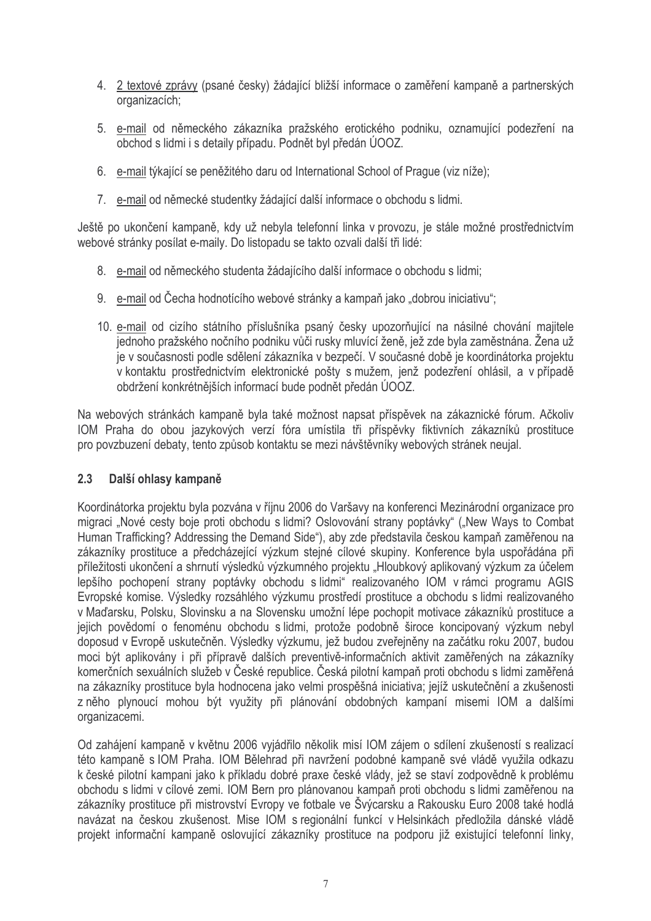- 4. 2 textové zprávy (psané česky) žádající bližší informace o zaměření kampaně a partnerských organizacích;
- 5. e-mail od německého zákazníka pražského erotického podniku, oznamující podezření na obchod s lidmi i s detaily případu. Podnět byl předán ÚOOZ.
- 6. e-mail týkající se peněžitého daru od International School of Praque (viz níže):
- 7. e-mail od německé studentky žádající další informace o obchodu s lidmi.

Ještě po ukončení kampaně, kdy už nebyla telefonní linka v provozu, je stále možné prostřednictvím webové stránky posílat e-maily. Do listopadu se takto ozvali další tři lidé:

- 8. e-mail od německého studenta žádajícího další informace o obchodu s lidmi;
- 9. e-mail od Čecha hodnotícího webové stránky a kampaň jako "dobrou iniciativu";
- 10. e-mail od cizího státního příslušníka psaný česky upozorňující na násilné chování majitele jednoho pražského nočního podniku vůči rusky mluvící ženě, jež zde byla zaměstnána. Žena už je v současnosti podle sdělení zákazníka v bezpečí. V současné době je koordinátorka projektu v kontaktu prostřednictvím elektronické pošty s mužem, jenž podezření ohlásil, a v případě obdržení konkrétnějších informací bude podnět předán ÚOOZ.

Na webových stránkách kampaně byla také možnost napsat příspěvek na zákaznické fórum. Ačkoliv IOM Praha do obou jazykových verzí fóra umístila tři příspěvky fiktivních zákazníků prostituce pro povzbuzení debaty, tento způsob kontaktu se mezi návštěvníky webových stránek neujal.

#### $2.3$ Další ohlasy kampaně

Koordinátorka projektu byla pozvána v říjnu 2006 do Varšavy na konferenci Mezinárodní organizace pro migraci "Nové cesty boje proti obchodu s lidmi? Oslovování strany poptávky" ("New Ways to Combat Human Trafficking? Addressing the Demand Side"), aby zde představila českou kampaň zaměřenou na zákazníky prostituce a předcházející výzkum stejné cílové skupiny. Konference byla uspořádána při příležitosti ukončení a shrnutí výsledků výzkumného projektu "Hloubkový aplikovaný výzkum za účelem lepšího pochopení strany poptávky obchodu s lidmi" realizovaného IOM v rámci programu AGIS Evropské komise. Výsledky rozsáhlého výzkumu prostředí prostituce a obchodu s lidmi realizovaného v Maďarsku, Polsku, Slovinsku a na Slovensku umožní lépe pochopit motivace zákazníků prostituce a jejich povědomí o fenoménu obchodu s lidmi, protože podobně široce koncipovaný výzkum nebyl doposud v Evropě uskutečněn. Výsledky výzkumu, jež budou zveřejněny na začátku roku 2007, budou moci být aplikovány i při přípravě dalších preventivě-informačních aktivit zaměřených na zákazníky komerčních sexuálních služeb v České republice. Česká pilotní kampaň proti obchodu s lidmi zaměřená na zákazníky prostituce byla hodnocena jako velmi prospěšná iniciativa; jejíž uskutečnění a zkušenosti z něho plynoucí mohou být využity při plánování obdobných kampaní misemi IOM a dalšími organizacemi.

Od zahájení kampaně v květnu 2006 vyjádřilo několik misí IOM zájem o sdílení zkušeností s realizací této kampaně s IOM Praha. IOM Bělehrad při navržení podobné kampaně své vládě využila odkazu k české pilotní kampani jako k příkladu dobré praxe české vlády, jež se staví zodpovědně k problému obchodu s lidmi v cílové zemi. IOM Bern pro plánovanou kampaň proti obchodu s lidmi zaměřenou na zákazníky prostituce při mistrovství Evropy ve fotbale ve Švýcarsku a Rakousku Euro 2008 také hodlá navázat na českou zkušenost. Mise IOM s regionální funkcí v Helsinkách předložila dánské vládě projekt informační kampaně oslovující zákazníky prostituce na podporu již existující telefonní linky,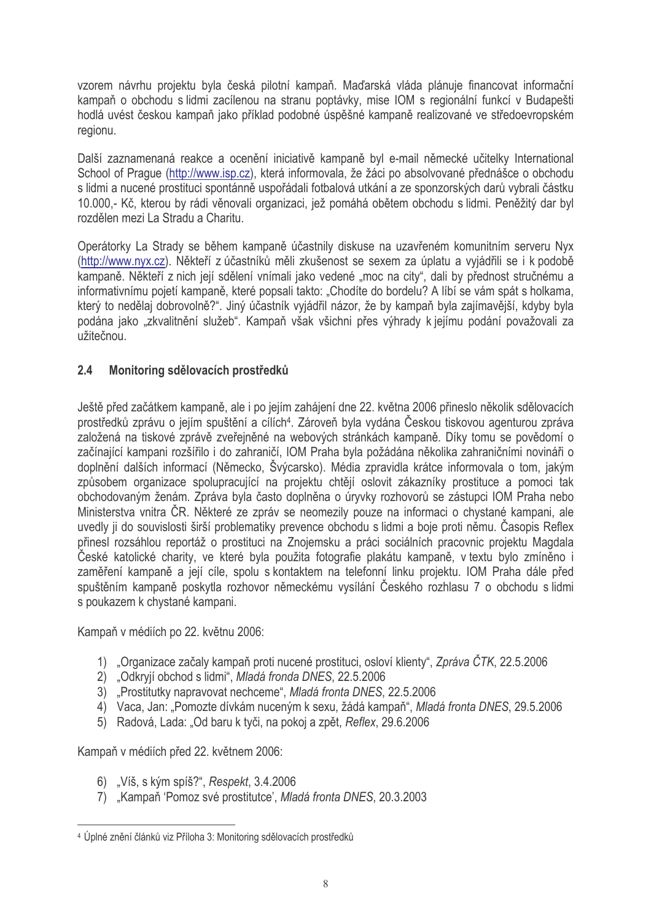vzorem návrhu projektu byla česká pilotní kampaň. Maďarská vláda plánuje financovat informační kampaň o obchodu s lidmi zacílenou na stranu poptávky, mise IOM s regionální funkcí v Budapešti hodlá uvést českou kampaň jako příklad podobné úspěšné kampaně realizované ve středoevropském regionu.

Další zaznamenaná reakce a ocenění iniciativě kampaně byl e-mail německé učitelky International School of Prague (http://www.isp.cz), která informovala, že žáci po absolvované přednášce o obchodu s lidmi a nucené prostituci spontánně uspořádali fotbalová utkání a ze sponzorských darů vybrali částku 10.000,- Kč, kterou by rádi věnovali organizaci, jež pomáhá obětem obchodu s lidmi. Peněžitý dar byl rozdělen mezi La Stradu a Charitu.

Operátorky La Strady se během kampaně účastnily diskuse na uzavřeném komunitním serveru Nyx (http://www.nyx.cz). Někteří z účastníků měli zkušenost se sexem za úplatu a vyjádřili se i k podobě kampaně. Někteří z nich její sdělení vnímali jako vedené "moc na city", dali by přednost stručnému a informativnímu pojetí kampaně, které popsali takto: "Chodíte do bordelu? A líbí se vám spát s holkama. který to nedělai dobrovolně?". Jiný účastník vyjádřil názor, že by kampaň byla zajímavější, kdyby byla podána jako "zkvalitnění služeb". Kampaň však všichni přes výhrady k jejímu podání považovali za užitečnou.

#### $2.4$ Monitoring sdělovacích prostředků

Ještě před začátkem kampaně, ale i po jejím zahájení dne 22. května 2006 přineslo několik sdělovacích prostředků zprávu o jejím spuštění a cílích<sup>4</sup>. Zároveň byla vydána Českou tiskovou agenturou zpráva založená na tiskové zprávě zveřejněné na webových stránkách kampaně. Díky tomu se povědomí o začínající kampani rozšířilo i do zahraničí. IOM Praha byla požádána několika zahraničními novináři o doplnění dalších informací (Německo, Švýcarsko). Média zpravidla krátce informovala o tom, jakým způsobem organizace spolupracující na projektu chtějí oslovit zákazníky prostituce a pomoci tak obchodovaným ženám. Zpráva byla často doplněna o úrvyky rozhovorů se zástupci IOM Praha nebo Ministerstva vnitra ČR. Některé ze zpráv se neomezily pouze na informaci o chystané kampani, ale uvedly ji do souvislosti širší problematiky prevence obchodu s lidmi a boje proti němu. Časopis Reflex přinesl rozsáhlou reportáž o prostituci na Znojemsku a práci sociálních pracovnic projektu Magdala České katolické charity, ve které byla použita fotografie plakátu kampaně, v textu bylo zmíněno i zaměření kampaně a její cíle, spolu s kontaktem na telefonní linku projektu. IOM Praha dále před spuštěním kampaně poskytla rozhovor německému vysílání Českého rozhlasu 7 o obchodu s lidmi s poukazem k chystané kampani.

Kampaň v médiích po 22. květnu 2006:

- 1) "Organizace začaly kampaň proti nucené prostituci, osloví klienty", Zpráva ČTK, 22.5.2006
- 2) "Odkryjí obchod s lidmi", Mladá fronda DNES, 22.5.2006
- 3) "Prostitutky napravovat nechceme", Mladá fronta DNES, 22.5.2006
- 4) Vaca, Jan: "Pomozte dívkám nuceným k sexu, žádá kampaň", Mladá fronta DNES, 29.5.2006
- 5) Radová, Lada: "Od baru k tyči, na pokoj a zpět, Reflex, 29.6.2006

Kampaň v médiích před 22. květnem 2006:

- 6) "Víš. s kým spíš?", Respekt, 3.4.2006
- 7) "Kampaň 'Pomoz své prostitutce', Mladá fronta DNES, 20.3.2003

<sup>&</sup>lt;sup>4</sup> Úplné znění článků viz Příloha 3: Monitoring sdělovacích prostředků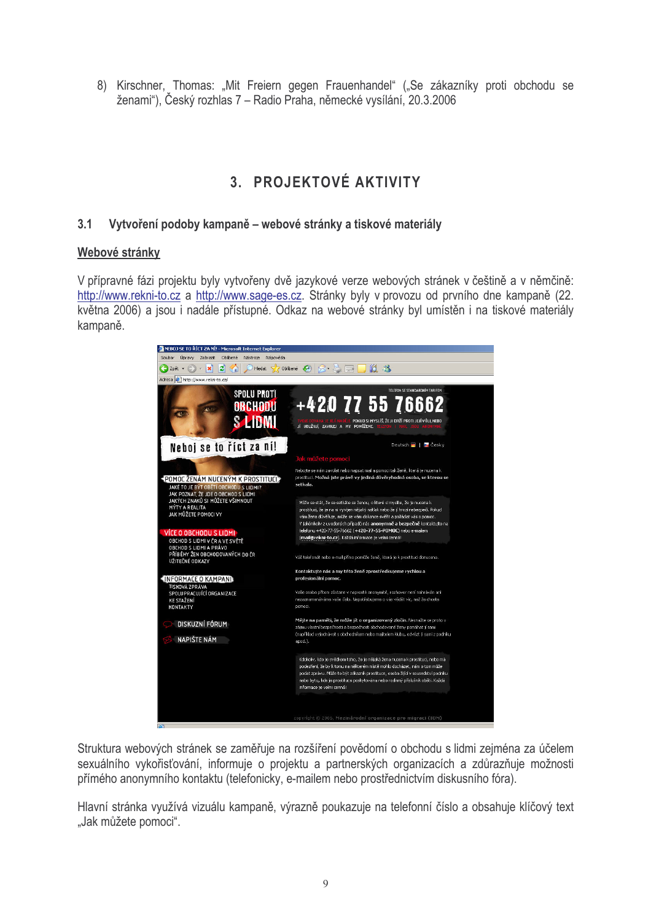8) Kirschner, Thomas: "Mit Freiern gegen Frauenhandel" ("Se zákazníky proti obchodu se ženami"), Český rozhlas 7 – Radio Praha, německé vysílání, 20.3.2006

## 3. PROJEKTOVÉ AKTIVITY

#### $3.1$ Vytvoření podoby kampaně – webové stránky a tiskové materiály

### Webové stránky

V přípravné fázi projektu byly vytvořeny dvě jazykové verze webových stránek v češtině a v němčině: http://www.rekni-to.cz a http://www.sage-es.cz. Stránky byly v provozu od prvního dne kampaně (22. května 2006) a jsou i nadále přístupné. Odkaz na webové stránky byl umístěn i na tiskové materiály kampaně.



Struktura webových stránek se zaměřuje na rozšíření povědomí o obchodu s lidmi zejména za účelem sexuálního vykořisťování, informuje o projektu a partnerských organizacích a zdůrazňuje možnosti přímého anonymního kontaktu (telefonicky, e-mailem nebo prostřednictvím diskusního fóra).

Hlavní stránka využívá vizuálu kampaně, výrazně poukazuje na telefonní číslo a obsahuje klíčový text "Jak můžete pomoci".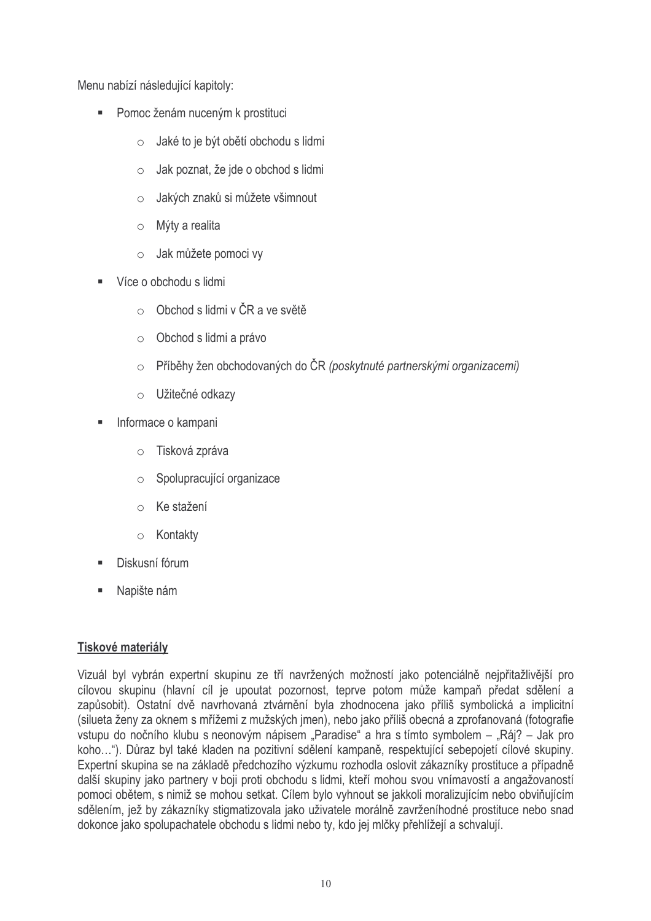Menu nabízí následující kapitoly:

- Pomoc ženám nuceným k prostituci
	- Jaké to je být obětí obchodu s lidmi  $\circ$
	- Jak poznat, že jde o obchod s lidmi  $\cap$
	- Jakých znaků si můžete všimnout  $\cap$
	- $\circ$  Mýty a realita
	- Jak můžete pomoci vy
- Více o obchodu s lidmi
	- $\circ$  Obchod s lidmi v ČR a ve světě
	- $\circ$  Obchod s lidmi a právo
	- o Příběhy žen obchodovaných do ČR (poskytnuté partnerskými organizacemi)
	- o Užitečné odkazy
- Informace o kampani  $\blacksquare$ 
	- Tisková zpráva  $\circ$
	- Spolupracující organizace  $\circ$
	- o Ke stažení
	- o Kontakty
- Diskusní fórum  $\blacksquare$
- $\blacksquare$ Napište nám

### Tiskové materiály

Vizuál byl vybrán expertní skupinu ze tří navržených možností jako potenciálně nejpřitažlivější pro cílovou skupinu (hlavní cíl je upoutat pozornost, teprve potom může kampaň předat sdělení a zapůsobit). Ostatní dvě navrhovaná ztvárnění byla zhodnocena jako příliš symbolická a implicitní (silueta ženy za oknem s mřížemi z mužských jmen), nebo jako příliš obecná a zprofanovaná (fotografie vstupu do nočního klubu s neonovým nápisem "Paradise" a hra s tímto symbolem – "Ráj? – Jak pro koho..."). Důraz byl také kladen na pozitivní sdělení kampaně, respektující sebepojetí cílové skupiny. Expertní skupina se na základě předchozího výzkumu rozhodla oslovit zákazníky prostituce a případně další skupiny jako partnery v boji proti obchodu s lidmi, kteří mohou svou vnímavostí a angažovaností pomoci obětem, s nimiž se mohou setkat. Cílem bylo vyhnout se jakkoli moralizujícím nebo obviňujícím sdělením, jež by zákazníky stigmatizovala jako uživatele morálně zavrženíhodné prostituce nebo snad dokonce jako spolupachatele obchodu s lidmi nebo tv. kdo jej mlčky přehlížejí a schvalují.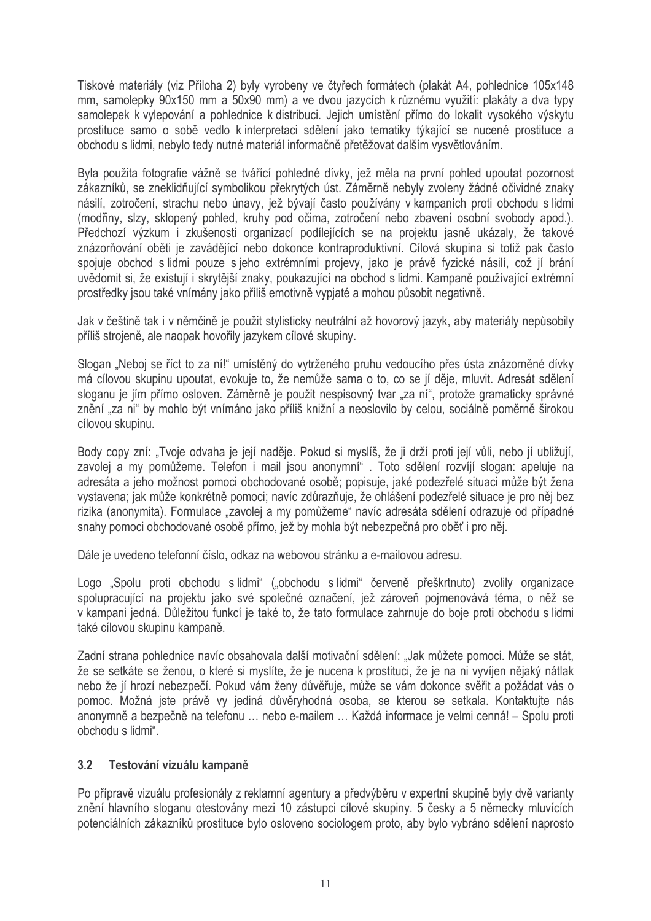Tiskové materiály (viz Příloha 2) byly vyrobeny ve čtyřech formátech (plakát A4, pohlednice 105x148 mm, samolepky 90x150 mm a 50x90 mm) a ve dvou jazycích k různému využití: plakáty a dva typy samolepek k vylepování a pohlednice k distribuci. Jejich umístění přímo do lokalit vysokého výskytu prostituce samo o sobě vedlo k interpretaci sdělení jako tematiky týkající se nucené prostituce a obchodu s lidmi, nebylo tedy nutné materiál informačně přetěžovat dalším vysvětlováním.

Byla použita fotografie vážně se tvářící pohledné dívky, jež měla na první pohled upoutat pozornost zákazníků, se zneklidňující symbolikou překrytých úst. Záměrně nebyly zvoleny žádné očividné znaky násilí, zotročení, strachu nebo únavy, jež bývají často používány v kampaních proti obchodu s lidmi (modřiny, slzy, sklopený pohled, kruhy pod očima, zotročení nebo zbavení osobní svobody apod.). Předchozí výzkum i zkušenosti organizací podílejících se na projektu jasně ukázaly, že takové znázorňování oběti je zavádějící nebo dokonce kontraproduktivní. Cílová skupina si totiž pak často spojuje obchod s lidmi pouze s jeho extrémními projevy, jako je právě fyzické násilí, což jí brání uvědomit si, že existují i skrytější znaky, poukazující na obchod s lidmi. Kampaně používající extrémní prostředky jsou také vnímány jako příliš emotivně vypjaté a mohou působit negativně.

Jak v češtině tak i v němčině je použit stylisticky neutrální až hovorový jazyk, aby materiály nepůsobily příliš strojeně, ale naopak hovořily jazykem cílové skupiny.

Slogan "Neboj se říct to za ní!" umístěný do vytrženého pruhu vedoucího přes ústa znázorněné dívky má cílovou skupinu upoutat, evokuje to, že nemůže sama o to, co se jí děje, mluvit. Adresát sdělení sloganu je jím přímo osloven. Záměrně je použit nespisovný tvar "za ní", protože gramaticky správné znění "za ni" by mohlo být vnímáno jako příliš knižní a neoslovilo by celou, sociálně poměrně širokou cílovou skupinu.

Body copy zní: "Tvoje odvaha je její naděje. Pokud si myslíš, že ji drží proti její vůli, nebo jí ubližují, zavolej a my pomůžeme. Telefon i mail jsou anonymní". Toto sdělení rozvíjí slogan: apeluje na adresáta a jeho možnost pomoci obchodované osobě; popisuje, jaké podezřelé situaci může být žena vystavena: jak může konkrétně pomoci: navíc zdůrazňuje, že ohlášení podezřelé situace je pro něj bez rizika (anonymita). Formulace "zavolej a my pomůžeme" navíc adresáta sdělení odrazuje od případné snahy pomoci obchodované osobě přímo, jež by mohla být nebezpečná pro oběť i pro něj.

Dále je uvedeno telefonní číslo, odkaz na webovou stránku a e-mailovou adresu.

Logo "Spolu proti obchodu s lidmi" ("obchodu s lidmi" červeně přeškrtnuto) zvolily organizace spolupracující na projektu jako své společné označení, jež zároveň pojmenovává téma, o něž se v kampani jedná. Důležitou funkcí je také to, že tato formulace zahrnuje do boje proti obchodu s lidmi také cílovou skupinu kampaně.

Zadní strana pohlednice navíc obsahovala další motivační sdělení: "Jak můžete pomoci. Může se stát. že se setkáte se ženou, o které si myslíte, že je nucena k prostituci, že je na ni vyvíjen nějaký nátlak nebo že jí hrozí nebezpečí. Pokud vám ženy důvěřuje, může se vám dokonce svěřit a požádat vás o pomoc. Možná jste právě vy jediná důvěryhodná osoba, se kterou se setkala. Kontaktujte nás anonymně a bezpečně na telefonu ... nebo e-mailem ... Každá informace je velmi cenná! – Spolu proti obchodu s lidmi".

#### $3.2$ Testování vizuálu kampaně

Po přípravě vizuálu profesionály z reklamní agentury a předvýběru v expertní skupině byly dvě varianty znění hlavního sloganu otestovány mezi 10 zástupci cílové skupiny. 5 česky a 5 německy mluvících potenciálních zákazníků prostituce bylo osloveno sociologem proto, aby bylo vybráno sdělení naprosto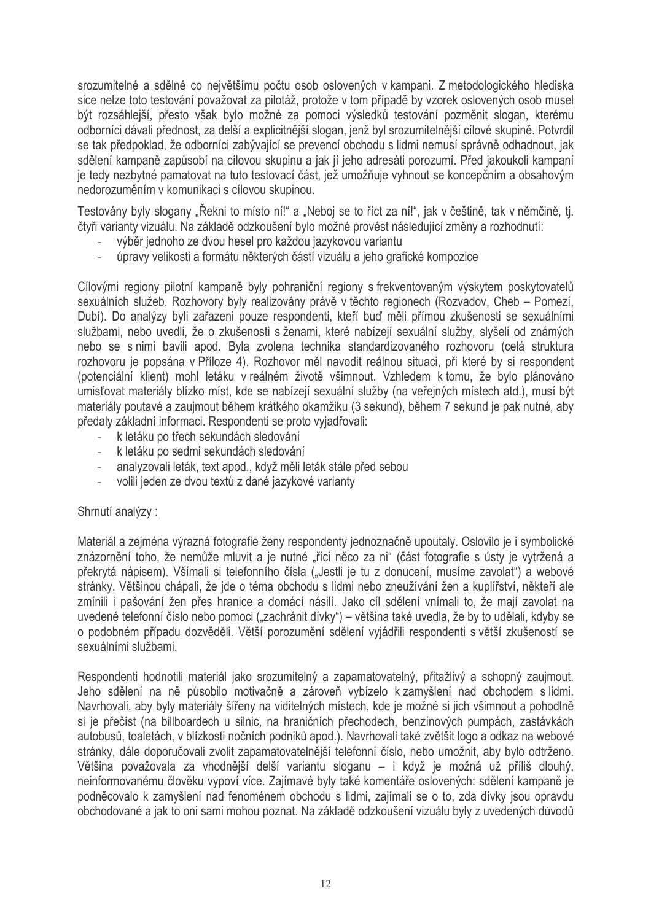srozumitelné a sdělné co největšímu počtu osob oslovených v kampani. Z metodologického hlediska sice nelze toto testování považovat za pilotáž, protože v tom případě by vzorek oslovených osob musel být rozsáhlejší, přesto však bylo možné za pomoci výsledků testování pozměnit slogan, kterému odborníci dávali přednost, za delší a explicitnější slogan, jenž byl srozumitelnější cílové skupině. Potvrdil se tak předpoklad, že odborníci zabývající se prevencí obchodu s lidmi nemusí správně odhadnout, jak sdělení kampaně zapůsobí na cílovou skupinu a jak jí jeho adresáti porozumí. Před jakoukoli kampaní je tedy nezbytné pamatovat na tuto testovací část, jež umožňuje vyhnout se koncepčním a obsahovým nedorozuměním v komunikaci s cílovou skupinou.

Testovány byly slogany "Řekni to místo ní!" a "Neboj se to říct za ní!", jak v češtině, tak v němčině, tj. čtvři varianty vizuálu. Na základě odzkoušení bylo možné provést následující změny a rozhodnutí:

- výběr jednoho ze dvou hesel pro každou jazykovou variantu
- úpravy velikosti a formátu některých částí vizuálu a jeho grafické kompozice  $\mathbb{Z}^2$

Cílovými regiony pilotní kampaně byly pohraniční regiony s frekventovaným výskytem poskytovatelů sexuálních služeb. Rozhovory byly realizovány právě v těchto regionech (Rozvadov, Cheb – Pomezí, Dubí). Do analýzy byli zařazeni pouze respondenti, kteří buď měli přímou zkušenosti se sexuálními službami, nebo uvedli, že o zkušenosti s ženami, které nabízejí sexuální služby, slyšeli od známých nebo se s nimi bavili apod. Byla zvolena technika standardizovaného rozhovoru (celá struktura rozhovoru je popsána v Příloze 4). Rozhovor měl navodit reálnou situaci, při které by si respondent (potenciální klient) mohl letáku v reálném životě všimnout. Vzhledem k tomu, že bylo plánováno umisťovat materiály blízko míst, kde se nabízejí sexuální služby (na veřejných místech atd.), musí být materiály poutavé a zaujmout během krátkého okamžiku (3 sekund), během 7 sekund je pak nutné, aby předaly základní informaci. Respondenti se proto vyjadřovali:

- k letáku po třech sekundách sledování
- k letáku po sedmi sekundách sledování
- analyzovali leták, text apod., když měli leták stále před sebou
- volili jeden ze dvou textů z dané jazykové varianty

### Shrnutí analýzy:

Materiál a zejména výrazná fotografie ženy respondenty jednoznačně upoutaly. Oslovilo je i symbolické znázornění toho, že nemůže mluvit a je nutné "říci něco za ni" (část fotografie s ústy je vytržená a překrytá nápisem). Všímali si telefonního čísla ("Jestli je tu z donucení, musíme zavolat") a webové stránky. Většinou chápali, že jde o téma obchodu s lidmi nebo zneužívání žen a kuplířství, někteří ale zmínili i pašování žen přes hranice a domácí násilí. Jako cíl sdělení vnímali to, že mají zavolat na uvedené telefonní číslo nebo pomoci ("zachránit dívky") – většina také uvedla, že by to udělali, kdyby se o podobném případu dozvěděli. Větší porozumění sdělení vyjádřili respondenti s větší zkušeností se sexuálními službami.

Respondenti hodnotili materiál jako srozumitelný a zapamatovatelný, přitažlivý a schopný zaujmout. Jeho sdělení na ně působilo motivačně a zároveň vybízelo k zamyšlení nad obchodem s lidmi. Navrhovali, aby byly materiály šířeny na viditelných místech, kde je možné si jich všimnout a pohodlně si je přečíst (na billboardech u silnic, na hraničních přechodech, benzínových pumpách, zastávkách autobusů, toaletách, v blízkosti nočních podniků apod.). Navrhovali také zvětšit logo a odkaz na webové stránky, dále doporučovali zvolit zapamatovatelnější telefonní číslo, nebo umožnit, aby bylo odtrženo. Většina považovala za vhodnější delší variantu sloganu – i když je možná už příliš dlouhý, neinformovanému člověku vypoví více. Zajímavé byly také komentáře oslovených: sdělení kampaně je podněcovalo k zamyšlení nad fenoménem obchodu s lidmi, zajímali se o to, zda dívky jsou opravdu obchodované a jak to oni sami mohou poznat. Na základě odzkoušení vizuálu byly z uvedených důvodů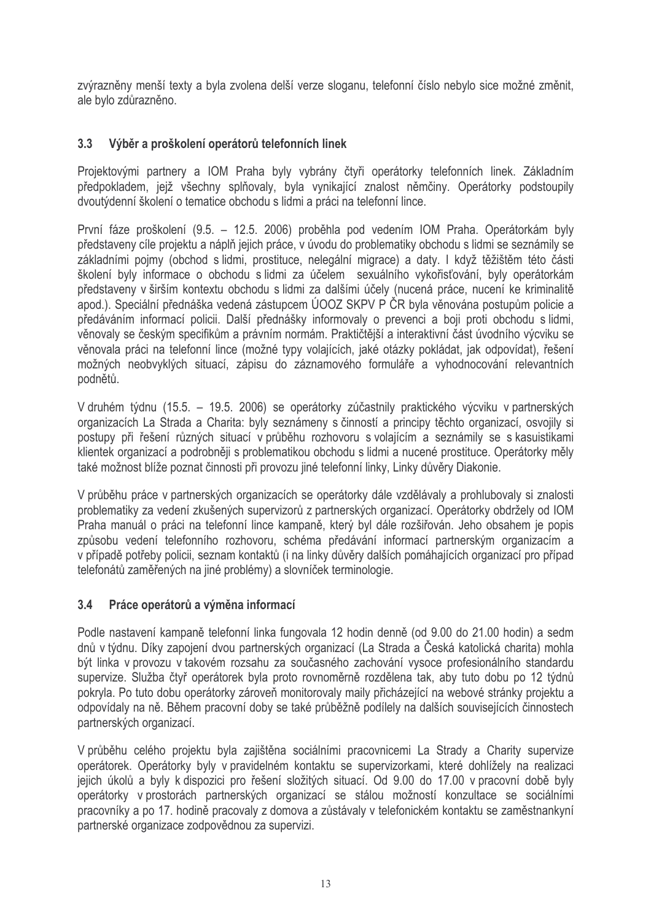zvýrazněny menší texty a byla zvolena delší verze sloganu, telefonní číslo nebylo sice možné změnit, ale bylo zdůrazněno.

#### $3.3$ Výběr a proškolení operátorů telefonních linek

Projektovými partnery a IOM Praha byly vybrány čtyři operátorky telefonních linek. Základním předpokladem, jejž všechny splňovaly, byla vynikající znalost němčiny. Operátorky podstoupily dvoutýdenní školení o tematice obchodu s lidmi a práci na telefonní lince.

První fáze proškolení (9.5. – 12.5. 2006) proběhla pod vedením IOM Praha. Operátorkám byly představeny cíle projektu a náplň jejich práce, v úvodu do problematiky obchodu s lidmi se seznámily se základními pojmy (obchod s lidmi, prostituce, nelegální migrace) a daty. I když těžištěm této části školení byly informace o obchodu s lidmi za účelem sexuálního vykořisťování, byly operátorkám představeny v širším kontextu obchodu s lidmi za dalšími účely (nucená práce, nucení ke kriminalitě apod.). Speciální přednáška vedená zástupcem ÚOOZ SKPV P ČR byla věnována postupům policie a předáváním informací policii. Další přednášky informovaly o prevenci a boji proti obchodu s lidmi, věnovaly se českým specifikům a právním normám. Praktičtější a interaktivní část úvodního výcviku se věnovala práci na telefonní lince (možné typy volajících, jaké otázky pokládat, jak odpovídat), řešení možných neobvyklých situací, zápisu do záznamového formuláře a vyhodnocování relevantních podnětů.

V druhém týdnu (15.5. – 19.5. 2006) se operátorky zúčastnily praktického výcviku v partnerských organizacích La Strada a Charita: byly seznámeny s činností a principy těchto organizací, osvojily si postupy při řešení různých situací v průběhu rozhovoru s volajícím a seznámily se s kasuistikami klientek organizací a podrobněji s problematikou obchodu s lidmi a nucené prostituce. Operátorky měly také možnost blíže poznat činnosti při provozu jiné telefonní linky, Linky důvěry Diakonie.

V průběhu práce v partnerských organizacích se operátorky dále vzdělávaly a prohlubovaly si znalosti problematiky za vedení zkušených supervizorů z partnerských organizací. Operátorky obdržely od IOM Praha manuál o práci na telefonní lince kampaně, který byl dále rozšiřován. Jeho obsahem je popis způsobu vedení telefonního rozhovoru, schéma předávání informací partnerským organizacím a v případě potřeby policii, seznam kontaktů (i na linky důvěry dalších pomáhajících organizací pro případ telefonátů zaměřených na jiné problémy) a slovníček terminologie.

#### $3.4$ Práce operátorů a výměna informací

Podle nastavení kampaně telefonní linka fungovala 12 hodin denně (od 9.00 do 21.00 hodin) a sedm dnů v týdnu. Díky zapojení dvou partnerských organizací (La Strada a Česká katolická charita) mohla být linka v provozu v takovém rozsahu za současného zachování vysoce profesionálního standardu supervize. Služba čtvř operátorek byla proto rovnoměrně rozdělena tak, aby tuto dobu po 12 týdnů pokryla. Po tuto dobu operátorky zároveň monitorovaly maily přicházející na webové stránky projektu a odpovídaly na ně. Během pracovní doby se také průběžně podílely na dalších souvisejících činnostech partnerských organizací.

V průběhu celého projektu byla zajištěna sociálními pracovnicemi La Strady a Charity supervize operátorek. Operátorky byly v pravidelném kontaktu se supervizorkami, které dohlížely na realizaci jejich úkolů a byly k dispozici pro řešení složitých situací. Od 9.00 do 17.00 v pracovní době byly operátorky v prostorách partnerských organizací se stálou možností konzultace se sociálními pracovníky a po 17. hodině pracovaly z domova a zůstávaly v telefonickém kontaktu se zaměstnankyní partnerské organizace zodpovědnou za supervizi.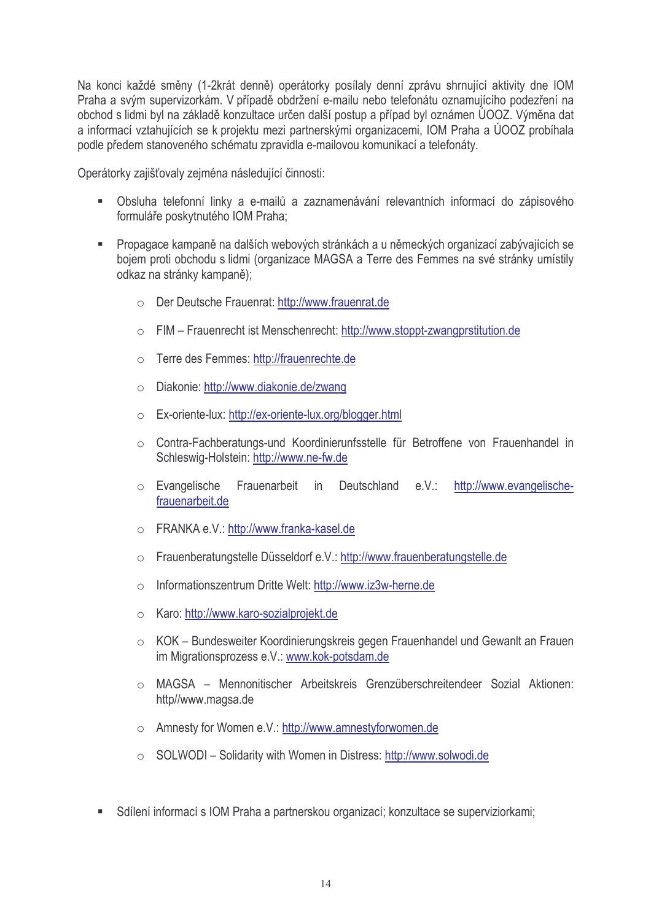Na konci každé směny (1-2krát denně) operátorky posílaly denní zprávu shrnující aktivity dne IOM Praha a svým supervizorkám. V případě obdržení e-mailu nebo telefonátu oznamujícího podezření na obchod s lidmi byl na základě konzultace určen další postup a případ byl oznámen ÚOOZ. Výměna dat a informací vztahujících se k projektu mezi partnerskými organizacemi. IOM Praha a ÚOOZ probíhala podle předem stanoveného schématu zpravidla e-majlovou komunikací a telefonáty.

Operátorky zajišťovaly zejména následující činnosti:

- Obsluha telefonní linky a e-mailů a zaznamenávání relevantních informací do zápisového formuláře poskytnutého IOM Praha;
- Propagace kampaně na dalších webových stránkách a u německých organizací zabývajících se bojem proti obchodu s lidmi (organizace MAGSA a Terre des Femmes na své stránky umístily odkaz na stránky kampaně);
	- O Der Deutsche Frauenrat: http://www.frauenrat.de
	- FIM Frauenrecht ist Menschenrecht: http://www.stoppt-zwangprstitution.de
	- o Terre des Femmes: http://frauenrechte.de
	- Diakonie: http://www.diakonie.de/zwang  $\bigcap$
	- Ex-oriente-lux: http://ex-oriente-lux.org/blogger.html
	- Contra-Fachberatungs-und Koordinierunfsstelle für Betroffene von Frauenhandel in Schleswig-Holstein: http://www.ne-fw.de
	- o Evangelische Frauenarbeit in Deutschland e.V.: http://www.evangelischefrauenarbeit.de
	- FRANKA e.V.: http://www.franka-kasel.de
	- o Frauenberatungstelle Düsseldorf e.V.: http://www.frauenberatungstelle.de
	- Informationszentrum Dritte Welt: http://www.iz3w-herne.de  $\bigcap$
	- Karo: http://www.karo-sozialprojekt.de  $\bigcap$
	- KOK Bundesweiter Koordinierungskreis gegen Frauenhandel und Gewanlt an Frauen im Migrationsprozess e.V.: www.kok-potsdam.de
	- o MAGSA Mennonitischer Arbeitskreis Grenzüberschreitendeer Sozial Aktionen: http//www.magsa.de
	- Amnesty for Women e.V.: http://www.amnestyforwomen.de
	- SOLWODI Solidarity with Women in Distress: http://www.solwodi.de
- Sdílení informací s IOM Praha a partnerskou organizací; konzultace se superviziorkami;  $\blacksquare$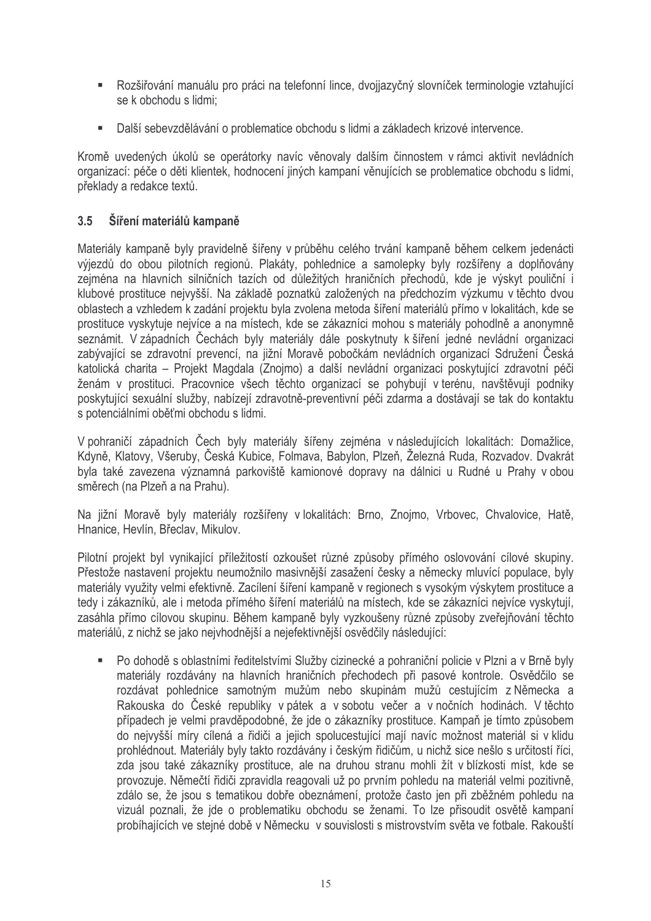- Rozšiřování manuálu pro práci na telefonní lince, dvojiazyčný slovníček terminologie vztahující se k obchodu s lidmi;
- Další sebevzdělávání o problematice obchodu s lidmi a základech krizové intervence.

Kromě uvedených úkolů se operátorky navíc věnovaly dalším činnostem v rámci aktivit nevládních organizací: péče o děti klientek, hodnocení jiných kampaní věnujících se problematice obchodu s lidmi. překlady a redakce textů.

#### $3.5$ Šíření materiálů kampaně

Materiály kampaně byly pravidelně šířeny v průběhu celého trvání kampaně během celkem jedenácti výjezdů do obou pilotních regionů. Plakáty, pohlednice a samolepky byly rozšířeny a doplňovány zejména na hlavních silničních tazích od důležitých hraničních přechodů, kde je výskyt pouliční i klubové prostituce nejvyšší. Na základě poznatků založených na předchozím výzkumu v těchto dvou oblastech a vzhledem k zadání projektu byla zvolena metoda šíření materiálů přímo v lokalitách, kde se prostituce vyskytuje nejvíce a na místech, kde se zákazníci mohou s materiály pohodlně a anonymně seznámit. V západních Čechách byly materiály dále poskytnuty k šíření jedné nevládní organizaci zabývající se zdravotní prevencí, na jižní Moravě pobočkám nevládních organizací Sdružení Česká katolická charita – Projekt Magdala (Znojmo) a další nevládní organizaci poskytující zdravotní péči ženám v prostituci. Pracovnice všech těchto organizací se pohybují v terénu, navštěvují podniky poskytující sexuální služby, nabízejí zdravotně-preventivní péči zdarma a dostávají se tak do kontaktu s potenciálními oběťmi obchodu s lidmi.

V pohraničí západních Čech byly materiály šířeny zejména v následujících lokalitách: Domažlice, Kdyně, Klatovy, Všeruby, Česká Kubice, Folmava, Babylon, Plzeň, Železná Ruda, Rozvadov, Dvakrát byla také zavezena významná parkoviště kamionové dopravy na dálnici u Rudné u Prahy v obou směrech (na Plzeň a na Prahu).

Na jižní Moravě byly materiály rozšířeny v lokalitách: Brno, Znojmo, Vrbovec, Chvalovice, Hatě, Hnanice, Hevlín, Břeclav, Mikulov.

Pilotní projekt byl vynikající příležitostí ozkoušet různé způsoby přímého oslovování cílové skupiny. Přestože nastavení projektu neumožnilo masivnější zasažení česky a německy mluvící populace, byly materiály využity velmi efektivně. Zacílení šíření kampaně v regionech s vysokým výskytem prostituce a tedy i zákazníků, ale i metoda přímého šíření materiálů na místech, kde se zákazníci nejvíce vyskytují, zasáhla přímo cílovou skupinu. Během kampaně byly vyzkoušeny různé způsoby zveřejňování těchto materiálů, z nichž se jako nejvhodnější a nejefektivnější osvědčily následující:

Po dohodě s oblastními ředitelstvími Služby cizinecké a pohraniční policie v Plzni a v Brně byly  $\mathbf{R}^{(1)}$ materiály rozdávány na hlavních hraničních přechodech při pasové kontrole. Osvědčilo se rozdávat pohlednice samotným mužům nebo skupinám mužů cestujícím z Německa a Rakouska do České republiky v pátek a v sobotu večer a v nočních hodinách. V těchto případech je velmi pravděpodobné, že jde o zákazníky prostituce. Kampaň je tímto způsobem do nejvyšší míry cílená a řidiči a jejich spolucestující mají navíc možnost materiál si v klidu prohlédnout. Materiály byly takto rozdávány i českým řidičům, u nichž sice nešlo s určitostí říci, zda jsou také zákazníky prostituce, ale na druhou stranu mohli žít v blízkosti míst, kde se provozuje. Němečtí řidiči zpravidla reagovali už po prvním pohledu na materiál velmi pozitivně. zdálo se, že jsou s tematikou dobře obeznámení, protože často jen při zběžném pohledu na vizuál poznali, že ide o problematiku obchodu se ženami. To lze přisoudit osvětě kampaní probíhajících ve stejné době v Německu v souvislosti s mistrovstvím světa ve fotbale. Rakouští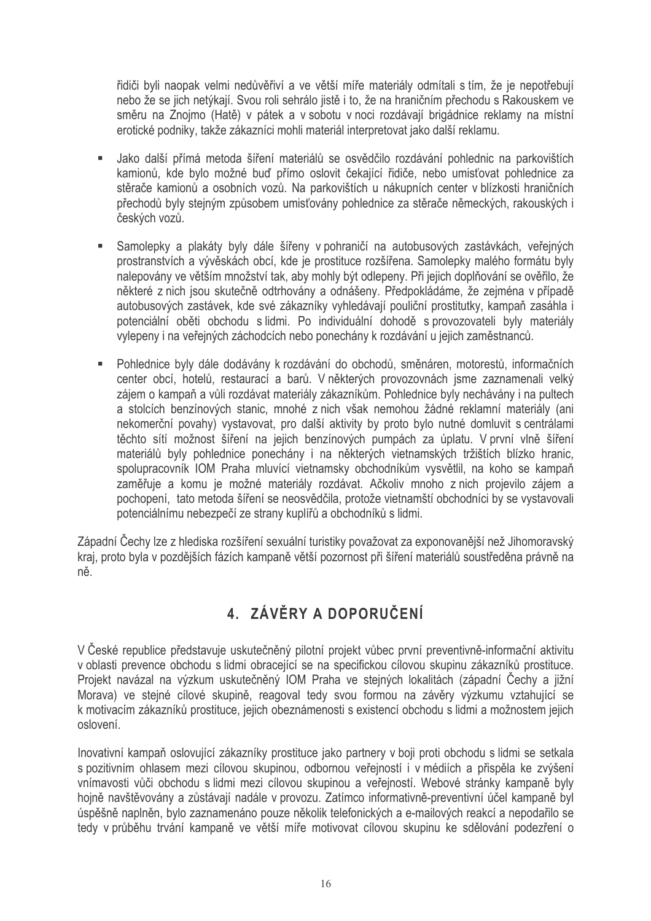řidiči byli naopak velmi nedůvěřiví a ve větší míře materiály odmítali s tím, že je nepotřebují nebo že se jich netýkají. Svou roli sehrálo jistě i to, že na hraničním přechodu s Rakouskem ve směru na Znojmo (Hatě) v pátek a v sobotu v noci rozdávají brigádnice reklamy na místní erotické podniky, takže zákazníci mohli materiál interpretovat jako další reklamu.

- Jako další přímá metoda šíření materiálů se osvědčilo rozdávání pohlednic na parkovištích  $\mathbf{r}$ kamionů, kde bylo možné buď přímo oslovit čekající řidiče, nebo umisťovat pohlednice za stěrače kamionů a osobních vozů. Na parkovištích u nákupních center v blízkosti hraničních přechodů byly stejným způsobem umisťovány pohlednice za stěrače německých, rakouských i českých vozů.
- $\blacksquare$ Samolepky a plakáty byly dále šířeny v pohraničí na autobusových zastávkách, veřejných prostranstvích a vývěskách obcí, kde je prostituce rozšířena. Samolepky malého formátu byly nalepovány ve větším množství tak, aby mohly být odlepeny. Při jejich doplňování se ověřilo, že některé z nich jsou skutečně odtrhovány a odnášeny. Předpokládáme, že zejména v případě autobusových zastávek, kde své zákazníky vyhledávají pouliční prostitutky, kampaň zasáhla i potenciální oběti obchodu s lidmi. Po individuální dohodě s provozovateli byly materiály vylepeny i na veřejných záchodcích nebo ponechány k rozdávání u jejich zaměstnanců.
- $\blacksquare$ Pohlednice byly dále dodávány k rozdávání do obchodů, směnáren, motorestů, informačních center obcí, hotelů, restaurací a barů. V některých provozovnách jsme zaznamenali velký zájem o kampaň a vůli rozdávat materiály zákazníkům. Pohlednice byly nechávány i na pultech a stolcích benzínových stanic, mnohé z nich však nemohou žádné reklamní materiály (ani nekomerční povahy) vystavovat, pro další aktivity by proto bylo nutné domluvit s centrálami těchto sítí možnost šíření na jejich benzínových pumpách za úplatu. V první vlně šíření materiálů byly pohlednice ponechány i na některých vietnamských tržištích blízko hranic. spolupracovník IOM Praha mluvící vietnamsky obchodníkům vysvětlil, na koho se kampaň zaměřuje a komu je možné materiály rozdávat. Ačkoliv mnoho z nich projevilo zájem a pochopení, tato metoda šíření se neosvědčila, protože vietnamští obchodníci by se vystavovali potenciálnímu nebezpečí ze strany kuplířů a obchodníků s lidmi.

Západní Čechy lze z hlediska rozšíření sexuální turistiky považovat za exponovanější než Jihomoravský kraj, proto byla v pozdějších fázích kampaně větší pozornost při šíření materiálů soustředěna právně na ně.

## 4. ZÁVĚRY A DOPORUČENÍ

V České republice představuje uskutečněný pilotní projekt vůbec první preventivně-informační aktivitu v oblasti prevence obchodu s lidmi obracející se na specifickou cílovou skupinu zákazníků prostituce. Projekt navázal na výzkum uskutečněný IOM Praha ve stejných lokalitách (západní Čechy a jižní Morava) ve stejné cílové skupině, reagoval tedy svou formou na závěry výzkumu vztahující se k motivacím zákazníků prostituce, jejich obeznámenosti s existencí obchodu s lidmi a možnostem jejich oslovení.

Inovativní kampaň oslovující zákazníky prostituce jako partnery v boji proti obchodu s lidmi se setkala s pozitivním ohlasem mezi cílovou skupinou, odbornou veřejností i v médiích a přispěla ke zvýšení vnímavosti vůči obchodu s lidmi mezi cílovou skupinou a veřejností. Webové stránky kampaně byly hojně navštěvovány a zůstávají nadále v provozu. Zatímco informativně-preventivní účel kampaně byl úspěšně naplněn, bylo zaznamenáno pouze několik telefonických a e-mailových reakcí a nepodařilo se tedy v průběhu trvání kampaně ve větší míře motivovat cílovou skupinu ke sdělování podezření o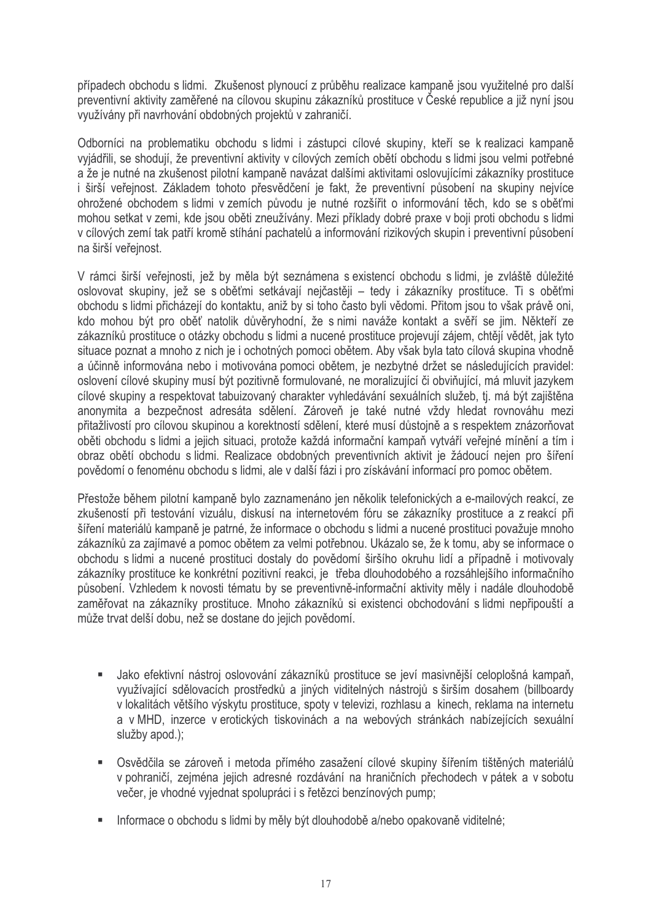případech obchodu s lidmi. Zkušenost plynoucí z průběhu realizace kampaně jsou využitelné pro další preventivní aktivity zaměřené na cílovou skupinu zákazníků prostituce v České republice a již nyní jsou využívány při navrhování obdobných projektů v zahraničí.

Odborníci na problematiku obchodu s lidmi i zástupci cílové skupiny, kteří se k realizaci kampaně vyjádřili, se shodují, že preventivní aktivity v cílových zemích obětí obchodu s lidmi jsou velmi potřebné a že je nutné na zkušenost pilotní kampaně navázat dalšími aktivitami oslovujícími zákazníky prostituce i širší veřejnost. Základem tohoto přesvědčení je fakt, že preventivní působení na skupiny nejvíce ohrožené obchodem s lidmi v zemích původu je nutné rozšířit o informování těch, kdo se s oběťmi mohou setkat v zemi, kde jsou oběti zneužívány. Mezi příklady dobré praxe v boji proti obchodu s lidmi v cílových zemí tak patří kromě stíhání pachatelů a informování rizikových skupin i preventivní působení na širší veřejnost.

V rámci širší veřejnosti, jež by měla být seznámena s existencí obchodu s lidmi, je zvláště důležité oslovovat skupiny, jež se s oběťmi setkávají nejčastěji – tedy i zákazníky prostituce. Ti s oběťmi obchodu s lidmi přicházejí do kontaktu, aniž by si toho často byli vědomi. Přitom jsou to však právě oni. kdo mohou být pro oběť natolik důvěryhodní, že s nimi naváže kontakt a svěří se jim. Někteří ze zákazníků prostituce o otázky obchodu s lidmi a nucené prostituce projevují zájem, chtějí vědět, jak tyto situace poznat a mnoho z nich je i ochotných pomoci obětem. Aby však byla tato cílová skupina vhodně a účinně informována nebo i motivována pomoci obětem, je nezbytné držet se následujících pravidel: oslovení cílové skupiny musí být pozitivně formulované, ne moralizující či obviňující, má mluvit jazykem cílové skupiny a respektovat tabuizovaný charakter vyhledávání sexuálních služeb, tj. má být zajištěna anonymita a bezpečnost adresáta sdělení. Zároveň je také nutné vždy hledat rovnováhu mezi přitažlivostí pro cílovou skupinou a korektností sdělení, které musí důstojně a s respektem znázorňovat oběti obchodu s lidmi a jejich situaci, protože každá informační kampaň vytváří veřejné mínění a tím i obraz obětí obchodu s lidmi. Realizace obdobných preventivních aktivit je žádoucí nejen pro šíření povědomí o fenoménu obchodu s lidmi, ale v další fázi i pro získávání informací pro pomoc obětem.

Přestože během pilotní kampaně bylo zaznamenáno jen několik telefonických a e-mailových reakcí, ze zkušeností při testování vizuálu, diskusí na internetovém fóru se zákazníky prostituce a z reakcí při šíření materiálů kampaně je patrné, že informace o obchodu s lidmi a nucené prostituci považuje mnoho zákazníků za zajímavé a pomoc obětem za velmi potřebnou. Ukázalo se, že k tomu, aby se informace o obchodu s lidmi a nucené prostituci dostaly do povědomí širšího okruhu lidí a případně i motivovaly zákazníky prostituce ke konkrétní pozitivní reakci, je třeba dlouhodobého a rozsáhlejšího informačního působení. Vzhledem k novosti tématu by se preventivně-informační aktivity měly i nadále dlouhodobě zaměřovat na zákazníky prostituce. Mnoho zákazníků si existenci obchodování s lidmi nepřipouští a může trvat delší dobu, než se dostane do jejich povědomí.

- · Jako efektivní nástroj oslovování zákazníků prostituce se jeví masivnější celoplošná kampaň, využívající sdělovacích prostředků a jiných viditelných nástrojů s širším dosahem (billboardy v lokalitách většího výskytu prostituce, spoty v televizi, rozhlasu a kinech, reklama na internetu a v MHD, inzerce v erotických tiskovinách a na webových stránkách nabízejících sexuální služby apod.);
- Osvědčila se zároveň i metoda přímého zasažení cílové skupiny šířením tištěných materiálů v pohraničí, zejména jejich adresné rozdávání na hraničních přechodech v pátek a v sobotu večer, je vhodné vyjednat spolupráci i s řetězci benzínových pump;
- Informace o obchodu s lidmi by měly být dlouhodobě a/nebo opakovaně viditelné;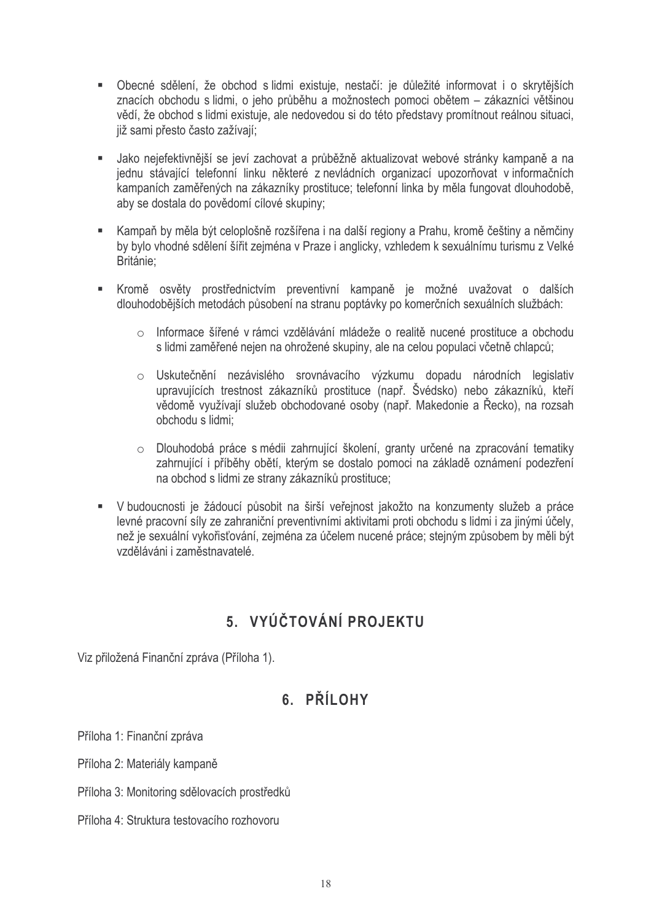- · Obecné sdělení, že obchod s lidmi existuje, nestačí: je důležité informovat i o skrytějších znacích obchodu s lidmi, o jeho průběhu a možnostech pomoci obětem – zákazníci většinou vědí, že obchod s lidmi existuje, ale nedovedou si do této představy promítnout reálnou situaci, již sami přesto často zažívají;
- Jako nejefektivnější se jeví zachovat a průběžně aktualizovat webové stránky kampaně a na jednu stávající telefonní linku některé z nevládních organizací upozorňovat v informačních kampaních zaměřených na zákazníky prostituce; telefonní linka by měla fungovat dlouhodobě, aby se dostala do povědomí cílové skupiny;
- Kampaň by měla být celoplošně rozšířena i na další regiony a Prahu, kromě češtiny a němčiny by bylo vhodné sdělení šířit zejména v Praze i anglicky, vzhledem k sexuálnímu turismu z Velké Británie:
- Kromě osvěty prostřednictvím preventivní kampaně je možné uvažovat o dalších dlouhodobějších metodách působení na stranu poptávky po komerčních sexuálních službách:
	- o Informace šířené v rámci vzdělávání mládeže o realitě nucené prostituce a obchodu s lidmi zaměřené nejen na ohrožené skupiny, ale na celou populaci včetně chlapců;
	- o Uskutečnění nezávislého srovnávacího výzkumu dopadu národních legislativ upravujících trestnost zákazníků prostituce (např. Švédsko) nebo zákazníků, kteří vědomě využívají služeb obchodované osoby (např. Makedonie a Řecko), na rozsah obchodu s lidmi:
	- o Dlouhodobá práce s médii zahrnující školení, granty určené na zpracování tematiky zahrnující i příběhy obětí, kterým se dostalo pomoci na základě oznámení podezření na obchod s lidmi ze strany zákazníků prostituce;
- V budoucnosti je žádoucí působit na širší veřejnost jakožto na konzumenty služeb a práce levné pracovní síly ze zahraniční preventivními aktivitami proti obchodu s lidmi i za jinými účelv. než je sexuální vykořisťování, zejména za účelem nucené práce; stejným způsobem by měli být vzděláváni i zaměstnavatelé.

## 5. VYÚČTOVÁNÍ PROJEKTU

Viz přiložená Finanční zpráva (Příloha 1).

## 6. PŘÍLOHY

Příloha 1: Finanční zpráva

Příloha 2: Materiály kampaně

Příloha 3: Monitoring sdělovacích prostředků

Příloha 4: Struktura testovacího rozhovoru